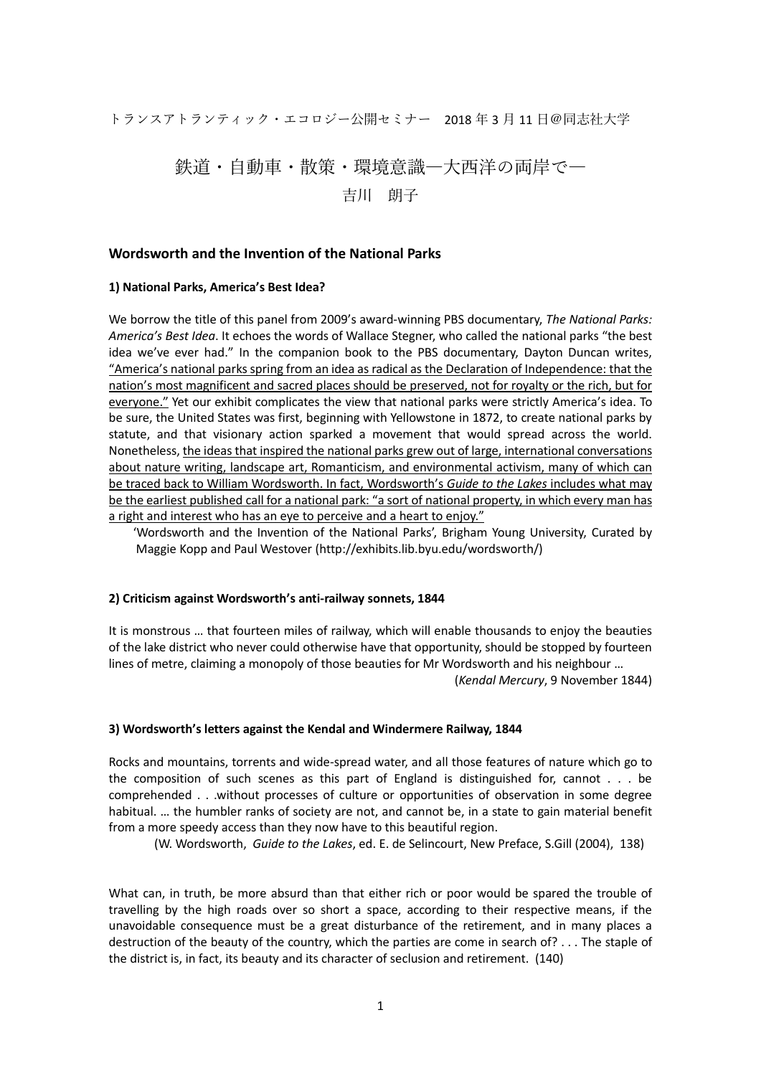トランスアトランティック・エコロジー公開セミナー 2018 年 3 月 11 日@同志社大学

# 鉄道・自動車・散策・環境意識―大西洋の両岸で― 吉川 朗子

#### **Wordsworth and the Invention of the National Parks**

#### **1) National Parks, America's Best Idea?**

We borrow the title of this panel from 2009's award-winning PBS documentary, *The National Parks: America's Best Idea*. It echoes the words of Wallace Stegner, who called the national parks "the best idea we've ever had." In the companion book to the PBS documentary, Dayton Duncan writes, "America's national parks spring from an idea as radical as the Declaration of Independence: that the nation's most magnificent and sacred places should be preserved, not for royalty or the rich, but for everyone." Yet our exhibit complicates the view that national parks were strictly America's idea. To be sure, the United States was first, beginning with Yellowstone in 1872, to create national parks by statute, and that visionary action sparked a movement that would spread across the world. Nonetheless, the ideas that inspired the national parks grew out of large, international conversations about nature writing, landscape art, Romanticism, and environmental activism, many of which can be traced back to William Wordsworth. In fact, Wordsworth's *Guide to the Lakes* includes what may be the earliest published call for a national park: "a sort of national property, in which every man has a right and interest who has an eye to perceive and a heart to enjoy."

 'Wordsworth and the Invention of the National Parks', Brigham Young University, Curated by Maggie Kopp and Paul Westover (http://exhibits.lib.byu.edu/wordsworth/)

#### **2) Criticism against Wordsworth's anti-railway sonnets, 1844**

It is monstrous … that fourteen miles of railway, which will enable thousands to enjoy the beauties of the lake district who never could otherwise have that opportunity, should be stopped by fourteen lines of metre, claiming a monopoly of those beauties for Mr Wordsworth and his neighbour … (*Kendal Mercury*, 9 November 1844)

#### **3) Wordsworth's letters against the Kendal and Windermere Railway, 1844**

Rocks and mountains, torrents and wide-spread water, and all those features of nature which go to the composition of such scenes as this part of England is distinguished for, cannot . . . be comprehended . . .without processes of culture or opportunities of observation in some degree habitual. … the humbler ranks of society are not, and cannot be, in a state to gain material benefit from a more speedy access than they now have to this beautiful region.

(W. Wordsworth, *Guide to the Lakes*, ed. E. de Selincourt, New Preface, S.Gill (2004), 138)

What can, in truth, be more absurd than that either rich or poor would be spared the trouble of travelling by the high roads over so short a space, according to their respective means, if the unavoidable consequence must be a great disturbance of the retirement, and in many places a destruction of the beauty of the country, which the parties are come in search of? . . . The staple of the district is, in fact, its beauty and its character of seclusion and retirement. (140)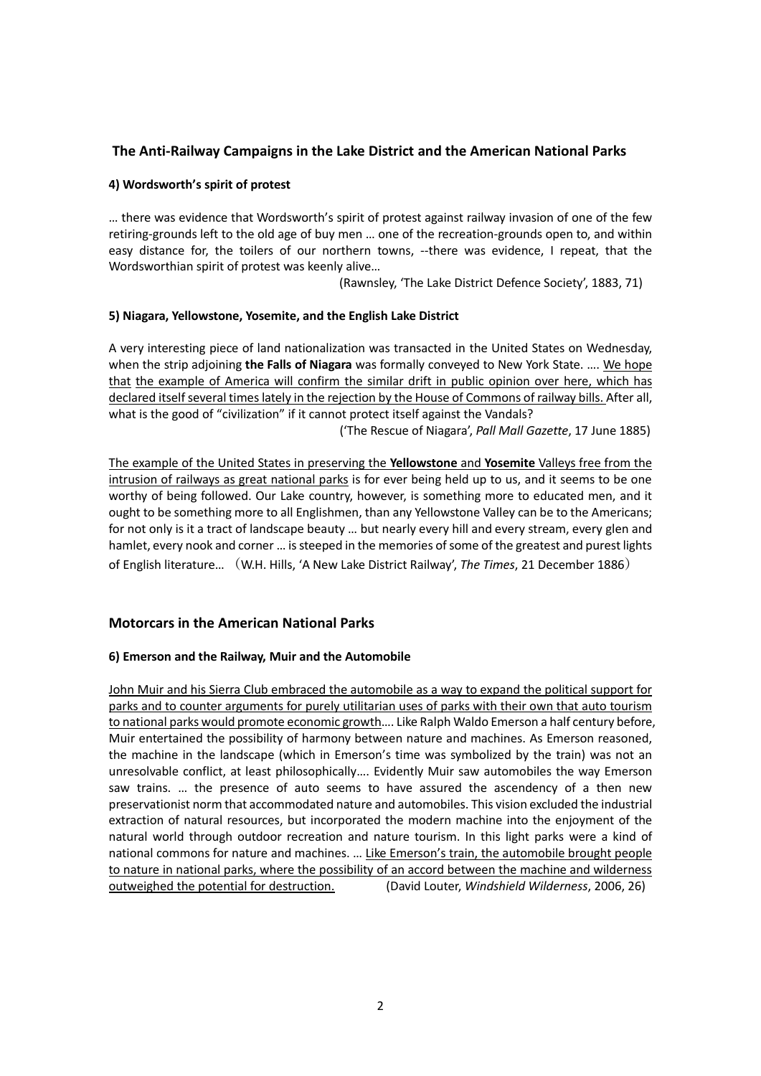# **The Anti-Railway Campaigns in the Lake District and the American National Parks**

## **4) Wordsworth's spirit of protest**

… there was evidence that Wordsworth's spirit of protest against railway invasion of one of the few retiring-grounds left to the old age of buy men … one of the recreation-grounds open to, and within easy distance for, the toilers of our northern towns, --there was evidence, I repeat, that the Wordsworthian spirit of protest was keenly alive…

(Rawnsley, 'The Lake District Defence Society', 1883, 71)

## **5) Niagara, Yellowstone, Yosemite, and the English Lake District**

A very interesting piece of land nationalization was transacted in the United States on Wednesday, when the strip adjoining **the Falls of Niagara** was formally conveyed to New York State. …. We hope that the example of America will confirm the similar drift in public opinion over here, which has declared itself several times lately in the rejection by the House of Commons of railway bills. After all, what is the good of "civilization" if it cannot protect itself against the Vandals? ('The Rescue of Niagara', *Pall Mall Gazette*, 17 June 1885)

The example of the United States in preserving the **Yellowstone** and **Yosemite** Valleys free from the intrusion of railways as great national parks is for ever being held up to us, and it seems to be one worthy of being followed. Our Lake country, however, is something more to educated men, and it ought to be something more to all Englishmen, than any Yellowstone Valley can be to the Americans; for not only is it a tract of landscape beauty … but nearly every hill and every stream, every glen and hamlet, every nook and corner … is steeped in the memories of some of the greatest and purest lights of English literature… (W.H. Hills, 'A New Lake District Railway', *The Times*, 21 December 1886)

# **Motorcars in the American National Parks**

# **6) Emerson and the Railway, Muir and the Automobile**

John Muir and his Sierra Club embraced the automobile as a way to expand the political support for parks and to counter arguments for purely utilitarian uses of parks with their own that auto tourism to national parks would promote economic growth…. Like Ralph Waldo Emerson a half century before, Muir entertained the possibility of harmony between nature and machines. As Emerson reasoned, the machine in the landscape (which in Emerson's time was symbolized by the train) was not an unresolvable conflict, at least philosophically…. Evidently Muir saw automobiles the way Emerson saw trains. … the presence of auto seems to have assured the ascendency of a then new preservationist norm that accommodated nature and automobiles. This vision excluded the industrial extraction of natural resources, but incorporated the modern machine into the enjoyment of the natural world through outdoor recreation and nature tourism. In this light parks were a kind of national commons for nature and machines. … Like Emerson's train, the automobile brought people to nature in national parks, where the possibility of an accord between the machine and wilderness outweighed the potential for destruction. (David Louter, *Windshield Wilderness*, 2006, 26)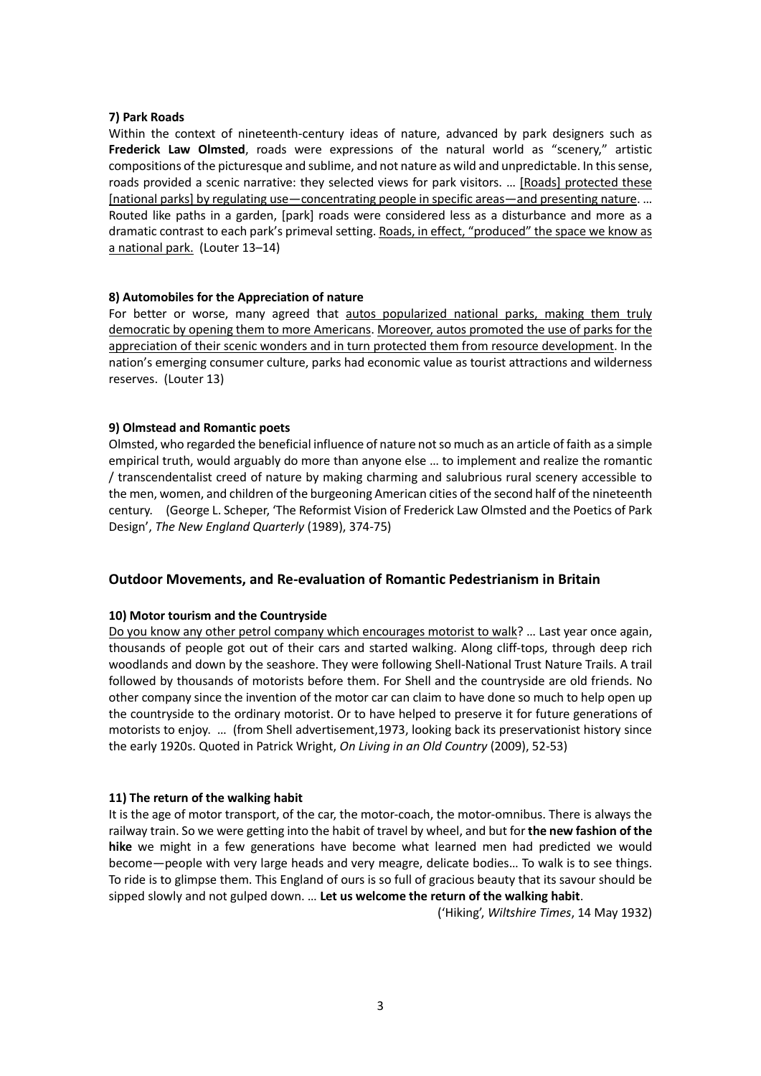#### **7) Park Roads**

Within the context of nineteenth-century ideas of nature, advanced by park designers such as **Frederick Law Olmsted**, roads were expressions of the natural world as "scenery," artistic compositions of the picturesque and sublime, and not nature as wild and unpredictable. In this sense, roads provided a scenic narrative: they selected views for park visitors. ... [Roads] protected these [national parks] by regulating use—concentrating people in specific areas—and presenting nature. … Routed like paths in a garden, [park] roads were considered less as a disturbance and more as a dramatic contrast to each park's primeval setting. Roads, in effect, "produced" the space we know as a national park. (Louter 13–14)

## **8) Automobiles for the Appreciation of nature**

For better or worse, many agreed that autos popularized national parks, making them truly democratic by opening them to more Americans. Moreover, autos promoted the use of parks for the appreciation of their scenic wonders and in turn protected them from resource development. In the nation's emerging consumer culture, parks had economic value as tourist attractions and wilderness reserves. (Louter 13)

## **9) Olmstead and Romantic poets**

Olmsted, who regarded the beneficial influence of nature not so much as an article of faith as a simple empirical truth, would arguably do more than anyone else … to implement and realize the romantic / transcendentalist creed of nature by making charming and salubrious rural scenery accessible to the men, women, and children of the burgeoning American cities of the second half of the nineteenth century. (George L. Scheper, 'The Reformist Vision of Frederick Law Olmsted and the Poetics of Park Design', *The New England Quarterly* (1989), 374-75)

# **Outdoor Movements, and Re-evaluation of Romantic Pedestrianism in Britain**

# **10) Motor tourism and the Countryside**

Do you know any other petrol company which encourages motorist to walk? … Last year once again, thousands of people got out of their cars and started walking. Along cliff-tops, through deep rich woodlands and down by the seashore. They were following Shell-National Trust Nature Trails. A trail followed by thousands of motorists before them. For Shell and the countryside are old friends. No other company since the invention of the motor car can claim to have done so much to help open up the countryside to the ordinary motorist. Or to have helped to preserve it for future generations of motorists to enjoy. … (from Shell advertisement,1973, looking back its preservationist history since the early 1920s. Quoted in Patrick Wright, *On Living in an Old Country* (2009), 52-53)

# **11) The return of the walking habit**

It is the age of motor transport, of the car, the motor-coach, the motor-omnibus. There is always the railway train. So we were getting into the habit of travel by wheel, and but for **the new fashion of the hike** we might in a few generations have become what learned men had predicted we would become—people with very large heads and very meagre, delicate bodies… To walk is to see things. To ride is to glimpse them. This England of ours is so full of gracious beauty that its savour should be sipped slowly and not gulped down. … **Let us welcome the return of the walking habit**.

('Hiking', *Wiltshire Times*, 14 May 1932)